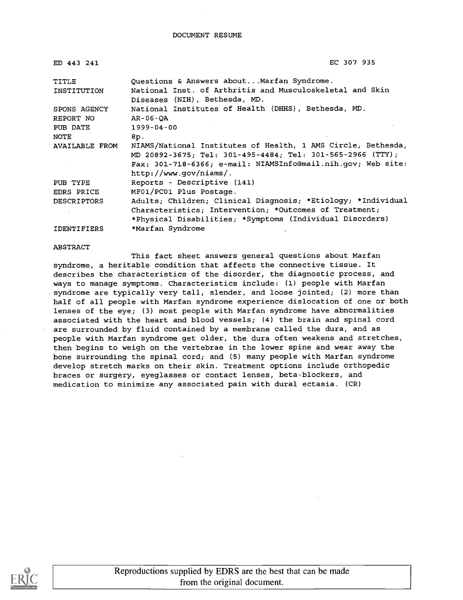| ED 443 241         | EC 307 935                                                                                                                                                                                                           |
|--------------------|----------------------------------------------------------------------------------------------------------------------------------------------------------------------------------------------------------------------|
| TITLE              | Ouestions & Answers aboutMarfan Syndrome.                                                                                                                                                                            |
| INSTITUTION        | National Inst. of Arthritis and Musculoskeletal and Skin<br>Diseases (NIH), Bethesda, MD.                                                                                                                            |
| SPONS AGENCY       | National Institutes of Health (DHHS), Bethesda, MD.                                                                                                                                                                  |
| REPORT NO          | AR-06-OA                                                                                                                                                                                                             |
| PUB DATE           | $1999 - 04 - 00$                                                                                                                                                                                                     |
| NOTE               | 8p.                                                                                                                                                                                                                  |
| AVAILABLE FROM     | NIAMS/National Institutes of Health, 1 AMS Circle, Bethesda,<br>MD 20892-3675; Tel: 301-495-4484; Tel: 301-565-2966 (TTY);<br>Fax: 301-718-6366; e-mail: NIAMSInfo@mail.nih.gov; Web site:<br>http://www.qov/niams/. |
| PUB TYPE           | Reports - Descriptive (141)                                                                                                                                                                                          |
| EDRS PRICE         | MF01/PC01 Plus Postage.                                                                                                                                                                                              |
| <b>DESCRIPTORS</b> | Adults; Children; Clinical Diagnosis; *Etiology; *Individual<br>Characteristics; Intervention; *Outcomes of Treatment;<br>*Physical Disabilities; *Symptoms (Individual Disorders)                                   |
| <b>IDENTIFIERS</b> | *Marfan Syndrome                                                                                                                                                                                                     |

#### ABSTRACT

This fact sheet answers general questions about Marfan syndrome, a heritable condition that affects the connective tissue. It describes the characteristics of the disorder, the diagnostic process, and ways to manage symptoms. Characteristics include: (1) people with Marfan syndrome are typically very tall, slender, and loose jointed; (2) more than half of all people with Marfan syndrome experience dislocation of one or both lenses of the eye; (3) most people with Marfan syndrome have abnormalities associated with the heart and blood vessels; (4) the brain and spinal cord are surrounded by fluid contained by a membrane called the dura, and as people with Marfan syndrome get older, the dura often weakens and stretches, then begins to weigh on the vertebrae in the lower spine and wear away the bone surrounding the spinal cord; and (5) many people with Marfan syndrome develop stretch marks on their skin. Treatment options include orthopedic braces or surgery, eyeglasses or contact lenses, beta-blockers, and medication to minimize any associated pain with dural ectasia. (CR)

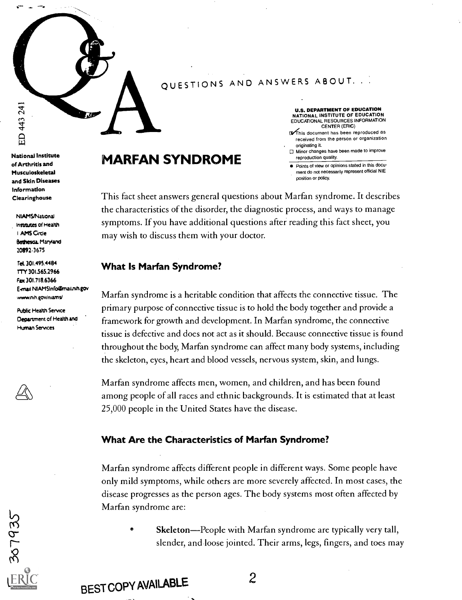## QUESTIONS AND ANSWERS ABOUT. .

ED 443 241

National Institute of Arthritis and Musculoskeletal and Skin Diseases Information Clearinghouse

NIAMS/Nauonal institutes of Health I AMS Circle Bethesda. Maryland 20892-3675

Tel. 301.495.4484 TTY 301.565.2966 Fax 301.718.6366 E-mail NIAMSInfo@mail.nih.gov www.nih.goviniams/

Public Health Service Department of Health and Human Services

307935

## MARFAN SYNDROME

U.S. DEPARTMENT OF EDUCATION NATIONAL INSTITUTE OF EDUCATION EDUCATIONAL RESOURCES INFORMATION CENTER (ERIC)

- This document has been reproduced as received from the person or organization originating it.
- 0 Minor changes have been made to improve reproduction quality.
- Points of view or opinions stated in this document do not necessarily represent official NIE position or policy.

This fact sheet answers general questions about Marfan syndrome. It describes the characteristics of the disorder, the diagnostic process, and ways to manage symptoms. If you have additional questions after reading this fact sheet, you may wish to discuss them with your doctor.

#### What Is Marfan Syndrome?

Marfan syndrome is a heritable condition that affects the connective tissue. The primary purpose of connective tissue is to hold the body together and provide a framework for growth and development. In Marfan syndrome, the connective tissue is defective and does not act as it should. Because connective tissue is found throughout the body, Marfan syndrome can affect many body systems, including the skeleton, eyes, heart and blood vessels, nervous system, skin, and lungs.

Marfan syndrome affects men, women, and children, and has been found among people of all races and ethnic backgrounds. It is estimated that at least 25,000 people in the United States have the disease.

#### What Are the Characteristics of Marfan Syndrome?

Marfan syndrome affects different people in different ways. Some people have only mild symptoms, while others are more severely affected. In most cases, the disease progresses as the person ages. The body systems most often affected by Marfan syndrome are:

Skeleton—People with Marfan syndrome are typically very tall, slender, and loose jointed. Their arms, legs, fingers, and toes may

BEST COPY AVAILABLE 2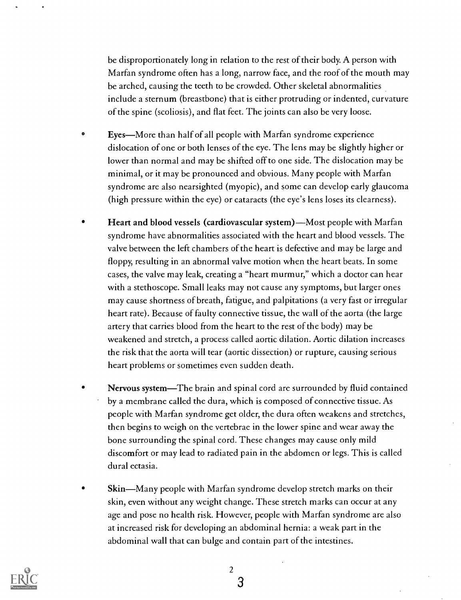be disproportionately long in relation to the rest of their body. A person with Marfan syndrome often has a long, narrow face, and the roof of the mouth may be arched, causing the teeth to be crowded. Other skeletal abnormalities include a sternum (breastbone) that is either protruding or indented, curvature of the spine (scoliosis), and flat feet. The joints can also be very loose.

- Eyes—More than half of all people with Marfan syndrome experience  $\bullet$ dislocation of one or both lenses of the eye. The lens may be slightly higher or lower than normal and may be shifted off to one side. The dislocation may be minimal, or it may be pronounced and obvious. Many people with Marfan syndrome are also nearsighted (myopic), and some can develop early glaucoma (high pressure within the eye) or cataracts (the eye's lens loses its clearness).
- Heart and blood vessels (cardiovascular system)—Most people with Marfan syndrome have abnormalities associated with the heart and blood vessels. The valve between the left chambers of the heart is defective and may be large and floppy, resulting in an abnormal valve motion when the heart beats. In some cases, the valve may leak, creating a "heart murmur," which a doctor can hear with a stethoscope. Small leaks may not cause any symptoms, but larger ones may cause shortness of breath, fatigue, and palpitations (a very fast or irregular heart rate). Because of faulty connective tissue, the wall of the aorta (the large artery that carries blood from the heart to the rest of the body) may be weakened and stretch, a process called aortic dilation. Aortic dilation increases the risk that the aorta will tear (aortic dissection) or rupture, causing serious heart problems or sometimes even sudden death.
- Nervous system—The brain and spinal cord are surrounded by fluid contained by a membrane called the dura, which is composed of connective tissue. As people with Marfan syndrome get older, the dura often weakens and stretches, then begins to weigh on the vertebrae in the lower spine and wear away the bone surrounding the spinal cord. These changes may cause only mild discomfort or may lead to radiated pain in the abdomen or legs. This is called dural ectasia.
- Skin—Many people with Marfan syndrome develop stretch marks on their skin, even without any weight change. These stretch marks can occur at any age and pose no health risk. However, people with Marfan syndrome are also at increased risk for developing an abdominal hernia: a weak part in the abdominal wall that can bulge and contain part of the intestines.



3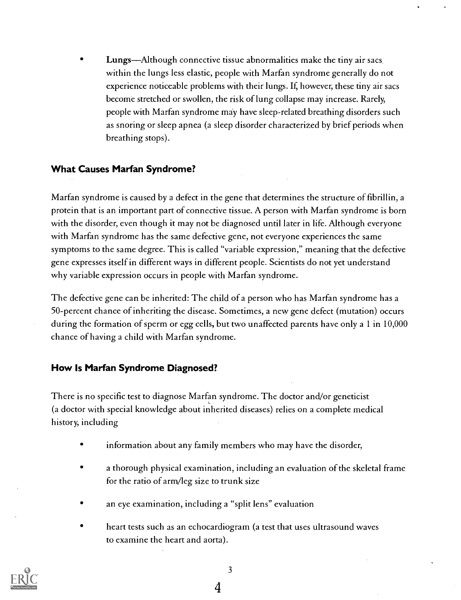Lungs—Although connective tissue abnormalities make the tiny air sacs within the lungs less elastic, people with Marfan syndrome generally do not experience noticeable problems with their lungs. If however, these tiny air sacs become stretched or swollen, the risk of lung collapse may increase. Rarely, people with Marfan syndrome may have sleep-related breathing disorders such as snoring or sleep apnea (a sleep disorder characterized by brief periods when breathing stops).

#### What Causes Marfan Syndrome?

Marfan syndrome is caused by a defect in the gene that determines the structure of fibrillin, a protein that is an important part of connective tissue. A person with Marfan syndrome is born with the disorder, even though it may not be diagnosed until later in life. Although everyone with Marfan syndrome has the same defective gene, not everyone experiences the same symptoms to the same degree. This is called "variable expression," meaning that the defective gene expresses itself in different ways in different people. Scientists do not yet understand why variable expression occurs in people with Marfan syndrome.

The defective gene can be inherited: The child of a person who has Marfan syndrome has a 50-percent chance of inheriting the disease. Sometimes, a new gene defect (mutation) occurs during the formation of sperm or egg cells, but two unaffected parents have only a 1 in 10,000 chance of having a child with Marfan syndrome.

#### How Is Marfan Syndrome Diagnosed?

There is no specific test to diagnose Marfan syndrome. The doctor and/or geneticist (a doctor with special knowledge about inherited diseases) relies on a complete medical history, including

- information about any family members who may have the disorder,
- a thorough physical examination, including an evaluation of the skeletal frame for the ratio of arm/leg size to trunk size
- an eye examination, including a "split lens" evaluation  $\bullet$
- heart tests such as an echocardiogram (a test that uses ultrasound waves  $\bullet$ to examine the heart and aorta).



4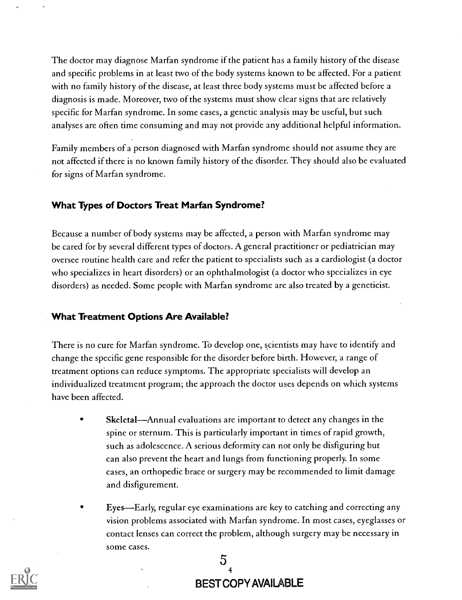The doctor may diagnose Marfan syndrome if the patient has a family history of the disease and specific problems in at least two of the body systems known to be affected. For a patient with no family history of the disease, at least three body systems must be affected before a diagnosis is made. Moreover, two of the systems must show clear signs that are relatively specific for Marfan syndrome. In some cases, a genetic analysis may be useful, but such analyses are often time consuming and may not provide any additional helpful information.

Family members of a person diagnosed with Marfan syndrome should not assume they are not affected if there is no known family history of the disorder. They should also be evaluated for signs of Marfan syndrome.

#### What Types of Doctors Treat Marfan Syndrome?

Because a number of body systems may be affected, a person with Marfan syndrome may be cared for by several different types of doctors. A general practitioner or pediatrician may oversee routine health care and refer the patient to specialists such as a cardiologist (a doctor who specializes in heart disorders) or an ophthalmologist (a doctor who specializes in eye disorders) as needed. Some people with Marfan syndrome are also treated by a geneticist.

#### What Treatment Options Are Available?

There is no cure for Marfan syndrome. To develop one, scientists may have to identify and change the specific gene responsible for the disorder before birth. However, a range of treatment options can reduce symptoms. The appropriate specialists will develop an individualized treatment program; the approach the doctor uses depends on which systems have been affected.

- Skeletal—Annual evaluations are important to detect any changes in the spine or sternum. This is particularly important in times of rapid growth, such as adolescence. A serious deformity can not only be disfiguring but can also prevent the heart and lungs from functioning properly. In some cases, an orthopedic brace or surgery may be recommended to limit damage and disfigurement.
- Eyes—Early, regular eye examinations are key to catching and correcting any vision problems associated with Marfan syndrome. In most cases, eyeglasses or contact lenses can correct the problem, although surgery may be necessary in some cases.

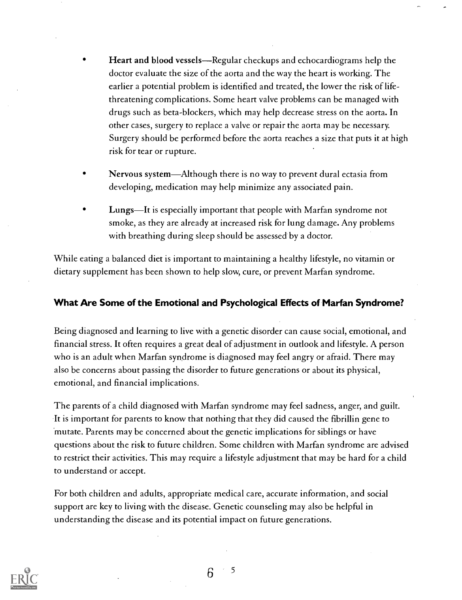- Heart and blood vessels—Regular checkups and echocardiograms help the doctor evaluate the size of the aorta and the way the heart is working. The earlier a potential problem is identified and treated, the lower the risk of lifethreatening complications. Some heart valve problems can be managed with drugs such as beta-blockers, which may help decrease stress on the aorta. In other cases, surgery to replace a valve or repair the aorta may be necessary. Surgery should be performed before the aorta reaches a size that puts it at high risk for tear or rupture.
- Nervous system—Although there is no way to prevent dural ectasia from developing, medication may help minimize any associated pain.
- **Lungs—It is especially important that people with Marfan syndrome not** smoke, as they are already at increased risk for lung damage. Any problems with breathing during sleep should be assessed by a doctor.

While eating a balanced diet is important to maintaining a healthy lifestyle, no vitamin or dietary supplement has been shown to help slow, cure, or prevent Marfan syndrome.

### What Are Some of the Emotional and Psychological Effects of Marfan Syndrome?

Being diagnosed and learning to live with a genetic disorder can cause social, emotional, and financial stress. It often requires a great deal of adjustment in outlook and lifestyle. A person who is an adult when Marfan syndrome is diagnosed may feel angry or afraid. There may also be concerns about passing the disorder to future generations or about its physical, emotional, and financial implications.

The parents of a child diagnosed with Marfan syndrome may feel sadness, anger, and guilt. It is important for parents to know that nothing that they did caused the fibrillin gene to mutate. Parents may be concerned about the genetic implications for siblings or have questions about the risk to future children. Some children with Marfan syndrome are advised to restrict their activities. This may require a lifestyle adjustment that may be hard for a child to understand or accept.

For both children and adults, appropriate medical care, accurate information, and social support are key to living with the disease. Genetic counseling may also be helpful in understanding the disease and its potential impact on future generations.



 $6 \rightarrow$ 5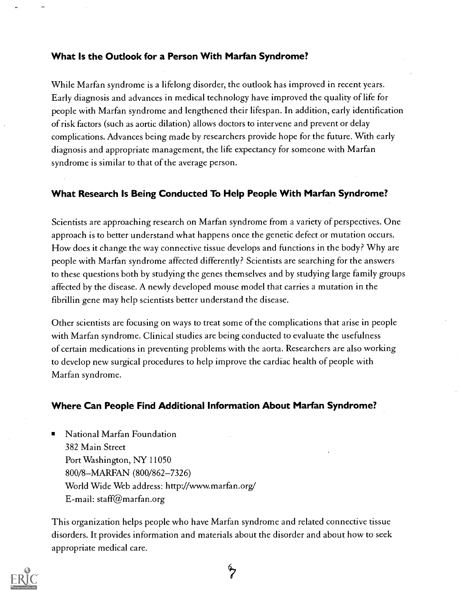#### What Is the Outlook for a Person With Marfan Syndrome?

While Marfan syndrome is a lifelong disorder, the outlook has improved in recent years. Early diagnosis and advances in medical technology have improved the quality of life for people with Marfan syndrome and lengthened their lifespan. In addition, early identification of risk factors (such as aortic dilation) allows doctors to intervene and prevent or delay complications. Advances being made by researchers provide hope for the future. With early diagnosis and appropriate management, the life expectancy for someone with Marfan syndrome is similar to that of the average person.

#### What Research Is Being Conducted To Help People With Marfan Syndrome?

Scientists are approaching research on Marfan syndrome from a variety of perspectives. One approach is to better understand what happens once the genetic defect or mutation occurs. How does it change the way connective tissue develops and functions in the body? Why are people with Marfan syndrome affected differently? Scientists are searching for the answers to these questions both by studying the genes themselves and by studying large family groups affected by the disease. A newly developed mouse model that carries a mutation in the fibrillin gene may help scientists better understand the disease.

Other scientists are focusing on ways to treat some of the complications that arise in people with Marfan syndrome. Clinical studies are being conducted to evaluate the usefulness of certain medications in preventing problems with the aorta. Researchers are also working to develop new surgical procedures to help improve the cardiac health of people with Marfan syndrome.

#### Where Can People Find Additional Information About Marfan Syndrome?

National Marfan Foundation 382 Main Street Port Washington, NY 11050 800/8-MARFAN (800/862-7326) World Wide Web address: http://www.marfan.org/ E-mail: staff@marfan.org

This organization helps people who have Marfan syndrome and related connective tissue disorders. It provides information and materials about the disorder and about how to seek appropriate medical care.



 $\mathcal{P}$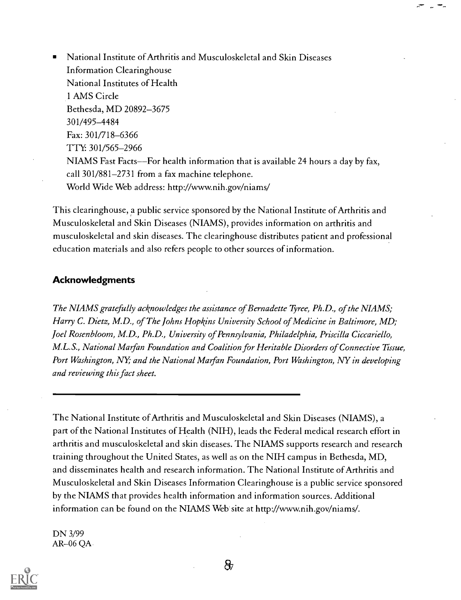National Institute of Arthritis and Musculoskeletal and Skin Diseases  $\blacksquare$ Information Clearinghouse National Institutes of Health 1 AMS Circle Bethesda, MD 20892-3675 301/495-4484 Fax: 301/718-6366 TTY 301/565-2966 NIAMS Fast Facts-For health information that is available 24 hours a day by fax, call 301/881-2731 from a fax machine telephone. World Wide Web address: http://www.nih.gov/niams/

This clearinghouse, a public service sponsored by the National Institute of Arthritis and Musculoskeletal and Skin Diseases ( NIAMS), provides information on arthritis and musculoskeletal and skin diseases. The clearinghouse distributes patient and professional education materials and also refers people to other sources of information.

#### Acknowledgments

The NIAMS gratefully acknowledges the assistance of Bernadette Tyree, Ph.D., of the NIAMS; Harry C. Dietz, M.D., of The Johns Hopkins University School of Medicine in Baltimore, MD; Joel Rosenbloom, M.D., Ph.D., University of Pennsylvania, Philadelphia, Priscilla Ciccariello, M.L.S., National Marfan Foundation and Coalition for Heritable Disorders of Connective Tissue, Port Washington, NY; and the National Marfan Foundation, Port Washington, NY in developing and reviewing this fact sheet.

The National Institute of Arthritis and Musculoskeletal and Skin Diseases (NIAMS), a part of the National Institutes of Health (NIH), leads the Federal medical research effort in arthritis and musculoskeletal and skin diseases. The NIAMS supports research and research training throughout the United States, as well as on the NIH campus in Bethesda, MD, and disseminates health and research information. The National Institute of Arthritis and Musculoskeletal and Skin Diseases Information Clearinghouse is a public service sponsored by the NIAMS that provides health information and information sources. Additional information can be found on the NIAMS Web site at http://www.nih.gov/niams/.

DN 3/99 AR-06 QA.



87